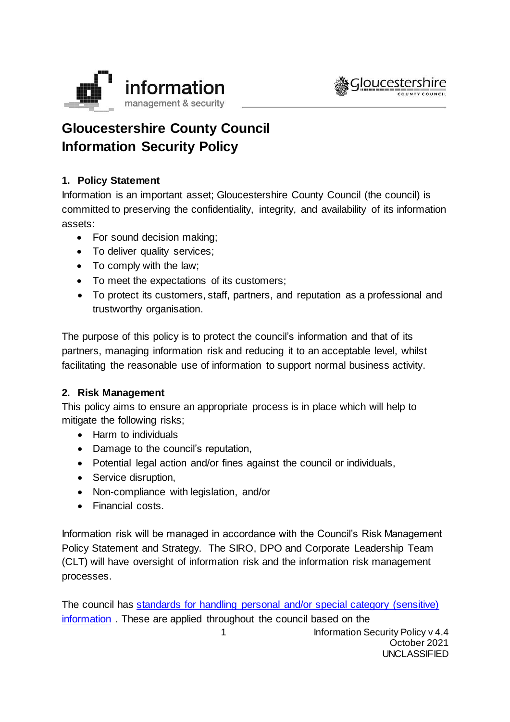



# **Gloucestershire County Council Information Security Policy**

# **1. Policy Statement**

Information is an important asset; Gloucestershire County Council (the council) is committed to preserving the confidentiality, integrity, and availability of its information assets:

- For sound decision making;
- To deliver quality services;
- To comply with the law;
- To meet the expectations of its customers;
- To protect its customers, staff, partners, and reputation as a professional and trustworthy organisation.

The purpose of this policy is to protect the council's information and that of its partners, managing information risk and reducing it to an acceptable level, whilst facilitating the reasonable use of information to support normal business activity.

## **2. Risk Management**

This policy aims to ensure an appropriate process is in place which will help to mitigate the following risks;

- Harm to individuals
- Damage to the council's reputation,
- Potential legal action and/or fines against the council or individuals,
- Service disruption,
- Non-compliance with legislation, and/or
- Financial costs.

Information risk will be managed in accordance with the Council's Risk Management Policy Statement and Strategy. The SIRO, DPO and Corporate Leadership Team (CLT) will have oversight of information risk and the information risk management processes.

1 **Information Security Policy v 4.4** October 2021 UNCLASSIFIED The council has [standards for handling personal and/or special category \(sensitive\)](https://staffnet.gloucestershire.gov.uk/internal-services/information-management-service/standards-for-handling-personal-andor-sensitive-information/)  [information](https://staffnet.gloucestershire.gov.uk/internal-services/information-management-service/standards-for-handling-personal-andor-sensitive-information/) . These are applied throughout the council based on the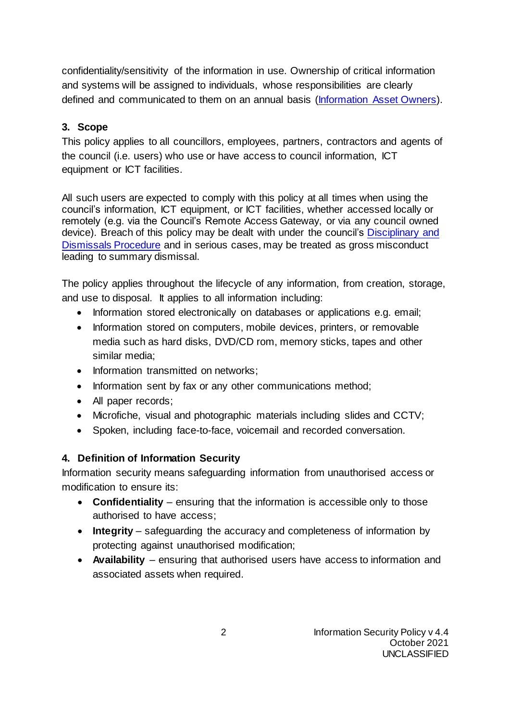confidentiality/sensitivity of the information in use. Ownership of critical information and systems will be assigned to individuals, whose responsibilities are clearly defined and communicated to them on an annual basis [\(Information Asset Owners\)](https://staffnet.gloucestershire.gov.uk/internal-services/information-management-service/information-asset-owners-iao-help-guidance/).

# **3. Scope**

This policy applies to all councillors, employees, partners, contractors and agents of the council (i.e. users) who use or have access to council information, ICT equipment or ICT facilities.

All such users are expected to comply with this policy at all times when using the council's information, ICT equipment, or ICT facilities, whether accessed locally or remotely (e.g. via the Council's Remote Access Gateway, or via any council owned device). Breach of this policy may be dealt with under the council's Disciplinary and [Dismissals Procedure](https://staffnet.gloucestershire.gov.uk/employee-information-and-support/hr-and-employment-handbook/disciplinary-and-dismissals/) and in serious cases, may be treated as gross misconduct leading to summary dismissal.

The policy applies throughout the lifecycle of any information, from creation, storage, and use to disposal. It applies to all information including:

- Information stored electronically on databases or applications e.g. email;
- Information stored on computers, mobile devices, printers, or removable media such as hard disks, DVD/CD rom, memory sticks, tapes and other similar media;
- Information transmitted on networks;
- Information sent by fax or any other communications method;
- All paper records;
- Microfiche, visual and photographic materials including slides and CCTV;
- Spoken, including face-to-face, voicemail and recorded conversation.

# **4. Definition of Information Security**

Information security means safeguarding information from unauthorised access or modification to ensure its:

- **Confidentiality**  ensuring that the information is accessible only to those authorised to have access;
- **Integrity** safeguarding the accuracy and completeness of information by protecting against unauthorised modification;
- **Availability** ensuring that authorised users have access to information and associated assets when required.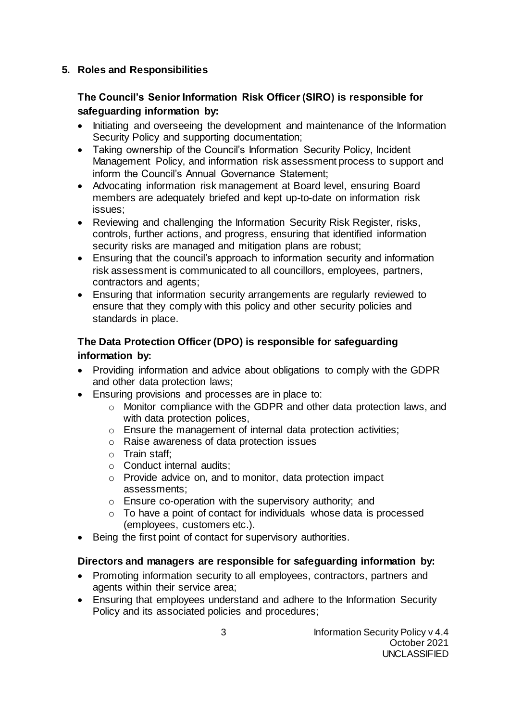## **5. Roles and Responsibilities**

# **The Council's Senior Information Risk Officer (SIRO) is responsible for safeguarding information by:**

- Initiating and overseeing the development and maintenance of the Information Security Policy and supporting documentation;
- Taking ownership of the Council's Information Security Policy, Incident Management Policy, and information risk assessment process to support and inform the Council's Annual Governance Statement;
- Advocating information risk management at Board level, ensuring Board members are adequately briefed and kept up-to-date on information risk issues;
- Reviewing and challenging the Information Security Risk Register, risks, controls, further actions, and progress, ensuring that identified information security risks are managed and mitigation plans are robust;
- Ensuring that the council's approach to information security and information risk assessment is communicated to all councillors, employees, partners, contractors and agents;
- Ensuring that information security arrangements are regularly reviewed to ensure that they comply with this policy and other security policies and standards in place.

# **The Data Protection Officer (DPO) is responsible for safeguarding information by:**

- Providing information and advice about obligations to comply with the GDPR and other data protection laws;
- Ensuring provisions and processes are in place to:
	- o Monitor compliance with the GDPR and other data protection laws, and with data protection polices.
	- o Ensure the management of internal data protection activities;
	- o Raise awareness of data protection issues
	- o Train staff;
	- o Conduct internal audits;
	- o Provide advice on, and to monitor, data protection impact assessments;
	- o Ensure co-operation with the supervisory authority; and
	- $\circ$  To have a point of contact for individuals whose data is processed (employees, customers etc.).
- Being the first point of contact for supervisory authorities.

## **Directors and managers are responsible for safeguarding information by:**

- Promoting information security to all employees, contractors, partners and agents within their service area;
- Ensuring that employees understand and adhere to the Information Security Policy and its associated policies and procedures;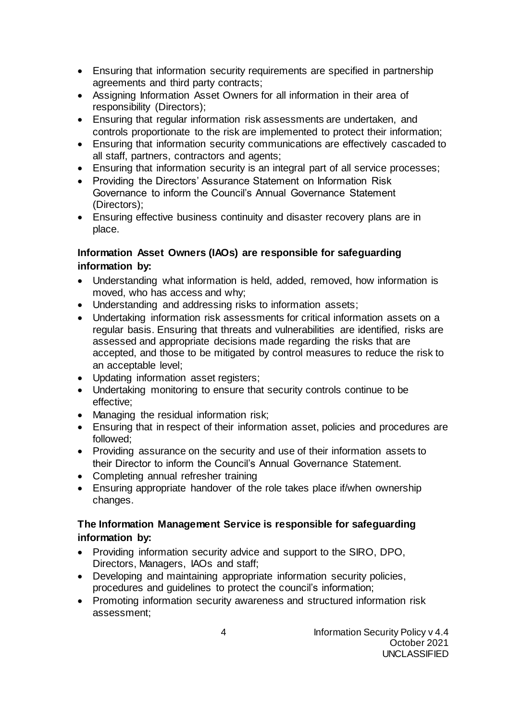- Ensuring that information security requirements are specified in partnership agreements and third party contracts;
- Assigning Information Asset Owners for all information in their area of responsibility (Directors);
- Ensuring that regular information risk assessments are undertaken, and controls proportionate to the risk are implemented to protect their information;
- Ensuring that information security communications are effectively cascaded to all staff, partners, contractors and agents;
- Ensuring that information security is an integral part of all service processes;
- Providing the Directors' Assurance Statement on Information Risk Governance to inform the Council's Annual Governance Statement (Directors);
- Ensuring effective business continuity and disaster recovery plans are in place.

## **Information Asset Owners (IAOs) are responsible for safeguarding information by:**

- Understanding what information is held, added, removed, how information is moved, who has access and why;
- Understanding and addressing risks to information assets;
- Undertaking information risk assessments for critical information assets on a regular basis. Ensuring that threats and vulnerabilities are identified, risks are assessed and appropriate decisions made regarding the risks that are accepted, and those to be mitigated by control measures to reduce the risk to an acceptable level;
- Updating information asset registers;
- Undertaking monitoring to ensure that security controls continue to be effective;
- Managing the residual information risk;
- Ensuring that in respect of their information asset, policies and procedures are followed;
- Providing assurance on the security and use of their information assets to their Director to inform the Council's Annual Governance Statement.
- Completing annual refresher training
- Ensuring appropriate handover of the role takes place if/when ownership changes.

# **The Information Management Service is responsible for safeguarding information by:**

- Providing information security advice and support to the SIRO, DPO, Directors, Managers, IAOs and staff;
- Developing and maintaining appropriate information security policies, procedures and guidelines to protect the council's information;
- Promoting information security awareness and structured information risk assessment;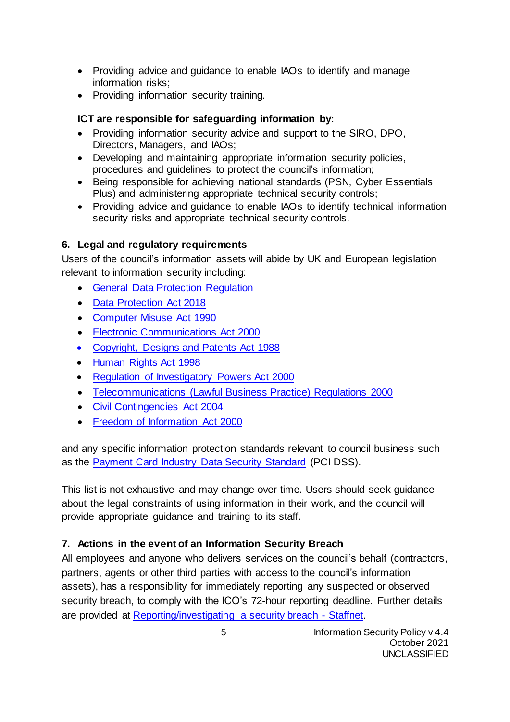- Providing advice and guidance to enable IAOs to identify and manage information risks;
- Providing information security training.

# **ICT are responsible for safeguarding information by:**

- Providing information security advice and support to the SIRO, DPO, Directors, Managers, and IAOs;
- Developing and maintaining appropriate information security policies, procedures and guidelines to protect the council's information;
- Being responsible for achieving national standards (PSN, Cyber Essentials Plus) and administering appropriate technical security controls;
- Providing advice and guidance to enable IAOs to identify technical information security risks and appropriate technical security controls.

# **6. Legal and regulatory requirements**

Users of the council's information assets will abide by UK and European legislation relevant to information security including:

- [General Data Protection Regulation](https://eur-lex.europa.eu/legal-content/EN/TXT/PDF/?uri=CELEX:32016R0679&from=EN)
- [Data Protection Act 2018](https://www.legislation.gov.uk/ukpga/2018/12/contents/enacted)
- [Computer Misuse Act 1990](http://www.legislation.gov.uk/ukpga/1990/18/contents)
- [Electronic Communications Act 2000](http://www.legislation.gov.uk/ukpga/2000/7/contents)
- [Copyright, Designs and Patents Act 1988](https://www.legislation.gov.uk/ukpga/1988/48/contents)
- [Human Rights Act 1998](http://www.legislation.gov.uk/ukpga/1998/42/contents)
- [Regulation of Investigatory Powers Act 2000](http://www.legislation.gov.uk/ukpga/2000/23/contents)
- [Telecommunications \(Lawful Business Practice\) Regulations 2000](http://www.legislation.gov.uk/uksi/2000/2699/contents/made)
- [Civil Contingencies Act 2004](https://www.legislation.gov.uk/ukpga/2004/36/contents)
- [Freedom of Information Act 2000](https://www.legislation.gov.uk/ukpga/2000/36/contents)

and any specific information protection standards relevant to council business such as the [Payment Card Industry Data Security Standard](https://www.pcisecuritystandards.org/security_standards/) (PCI DSS).

This list is not exhaustive and may change over time. Users should seek guidance about the legal constraints of using information in their work, and the council will provide appropriate guidance and training to its staff.

## **7. Actions in the event of an Information Security Breach**

All employees and anyone who delivers services on the council's behalf (contractors, partners, agents or other third parties with access to the council's information assets), has a responsibility for immediately reporting any suspected or observed security breach, to comply with the ICO's 72-hour reporting deadline. Further details are provided at [Reporting/investigating a security breach -](https://staffnet.gloucestershire.gov.uk/internal-services/information-management-service/information-security-incidents/) Staffnet.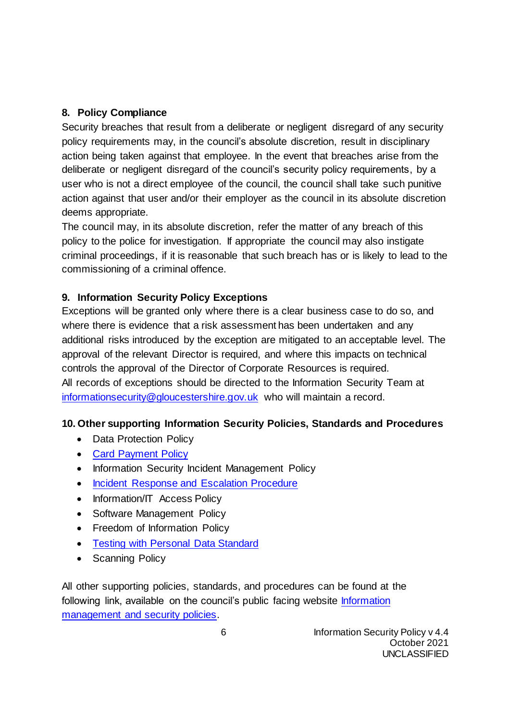## **8. Policy Compliance**

Security breaches that result from a deliberate or negligent disregard of any security policy requirements may, in the council's absolute discretion, result in disciplinary action being taken against that employee. In the event that breaches arise from the deliberate or negligent disregard of the council's security policy requirements, by a user who is not a direct employee of the council, the council shall take such punitive action against that user and/or their employer as the council in its absolute discretion deems appropriate.

The council may, in its absolute discretion, refer the matter of any breach of this policy to the police for investigation. If appropriate the council may also instigate criminal proceedings, if it is reasonable that such breach has or is likely to lead to the commissioning of a criminal offence.

# **9. Information Security Policy Exceptions**

Exceptions will be granted only where there is a clear business case to do so, and where there is evidence that a risk assessment has been undertaken and any additional risks introduced by the exception are mitigated to an acceptable level. The approval of the relevant Director is required, and where this impacts on technical controls the approval of the Director of Corporate Resources is required. All records of exceptions should be directed to the Information Security Team at [informationsecurity@gloucestershire.gov.uk](mailto:informationsecurity@gloucestershire.gov.uk) who will maintain a record.

## **10. Other supporting Information Security Policies, Standards and Procedures**

- Data Protection Policy
- [Card Payment Policy](https://staffnet.gloucestershire.gov.uk/media/220968/card-payment-policy-v02.docx)
- Information Security Incident Management Policy
- [Incident Response and Escalation Procedure](https://staffnet.gloucestershire.gov.uk/internal-services/information-management-service/information-security-incidents/)
- Information/IT Access Policy
- Software Management Policy
- Freedom of Information Policy
- [Testing with Personal Data Standard](https://staffnet.gloucestershire.gov.uk/media/2680/testing_with_personal_data_standards-34388.docx)
- Scanning Policy

All other supporting policies, standards, and procedures can be found at the following link, available on the council's public facing website **Information** [management and security policies.](http://www.gloucestershire.gov.uk/council-and-democracy/strategies-plans-policies/information-management-and-security-policies/)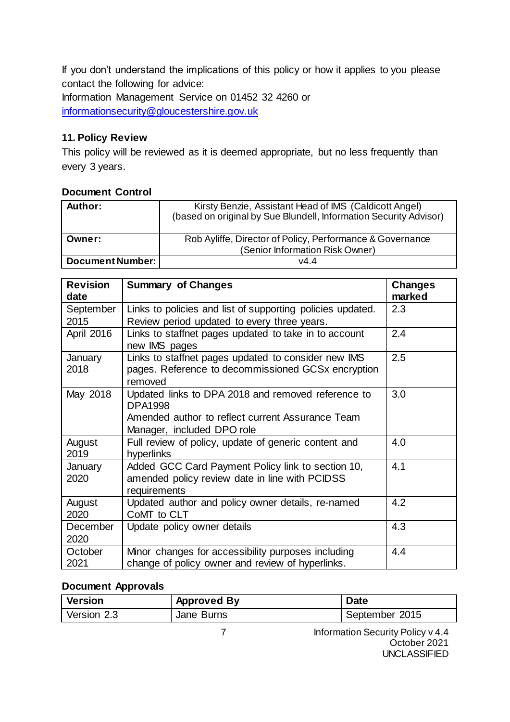If you don't understand the implications of this policy or how it applies to you please contact the following for advice: Information Management Service on 01452 32 4260 or [informationsecurity@gloucestershire.gov.uk](mailto:informationsecurity@gloucestershire.gov.uk)

# **11. Policy Review**

This policy will be reviewed as it is deemed appropriate, but no less frequently than every 3 years.

## **Document Control**

| Author:                 | Kirsty Benzie, Assistant Head of IMS (Caldicott Angel)<br>(based on original by Sue Blundell, Information Security Advisor) |  |
|-------------------------|-----------------------------------------------------------------------------------------------------------------------------|--|
| Owner:                  | Rob Ayliffe, Director of Policy, Performance & Governance                                                                   |  |
|                         | (Senior Information Risk Owner)                                                                                             |  |
| <b>Document Number:</b> | v4.4                                                                                                                        |  |

| <b>Revision</b><br>date | <b>Summary of Changes</b>                                                                                                                              | <b>Changes</b><br>marked |
|-------------------------|--------------------------------------------------------------------------------------------------------------------------------------------------------|--------------------------|
| September               | Links to policies and list of supporting policies updated.                                                                                             | 2.3                      |
| 2015                    | Review period updated to every three years.                                                                                                            |                          |
| April 2016              | Links to staffnet pages updated to take in to account<br>new IMS pages                                                                                 | 2.4                      |
| January<br>2018         | Links to staffnet pages updated to consider new IMS<br>pages. Reference to decommissioned GCSx encryption<br>removed                                   | 2.5                      |
| May 2018                | Updated links to DPA 2018 and removed reference to<br><b>DPA1998</b><br>Amended author to reflect current Assurance Team<br>Manager, included DPO role | 3.0                      |
| August<br>2019          | Full review of policy, update of generic content and<br>hyperlinks                                                                                     | 4.0                      |
| January<br>2020         | Added GCC Card Payment Policy link to section 10,<br>amended policy review date in line with PCIDSS<br>requirements                                    | 4.1                      |
| August<br>2020          | Updated author and policy owner details, re-named<br>CoMT to CLT                                                                                       | 4.2                      |
| December<br>2020        | Update policy owner details                                                                                                                            | 4.3                      |
| October<br>2021         | Minor changes for accessibility purposes including<br>change of policy owner and review of hyperlinks.                                                 | 4.4                      |

## **Document Approvals**

| Version     | <b>Approved By</b> | <b>Date</b>    |
|-------------|--------------------|----------------|
| Version 2.3 | Jane Burns         | September 2015 |